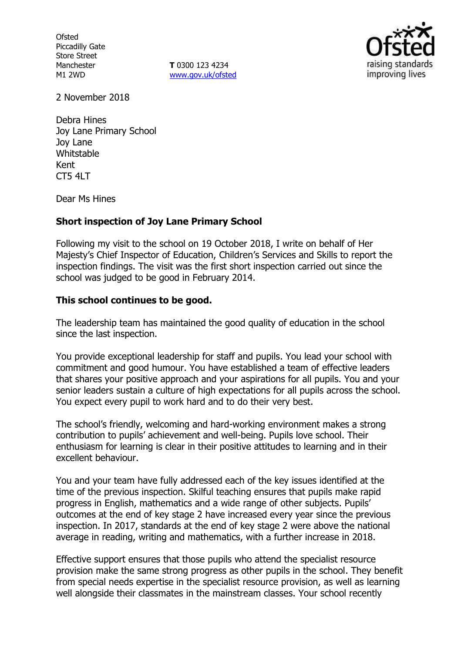**Ofsted** Piccadilly Gate Store Street Manchester M1 2WD

**T** 0300 123 4234 [www.gov.uk/ofsted](http://www.gov.uk/ofsted)



2 November 2018

Debra Hines Joy Lane Primary School Joy Lane Whitstable Kent CT5 4LT

Dear Ms Hines

## **Short inspection of Joy Lane Primary School**

Following my visit to the school on 19 October 2018, I write on behalf of Her Majesty's Chief Inspector of Education, Children's Services and Skills to report the inspection findings. The visit was the first short inspection carried out since the school was judged to be good in February 2014.

## **This school continues to be good.**

The leadership team has maintained the good quality of education in the school since the last inspection.

You provide exceptional leadership for staff and pupils. You lead your school with commitment and good humour. You have established a team of effective leaders that shares your positive approach and your aspirations for all pupils. You and your senior leaders sustain a culture of high expectations for all pupils across the school. You expect every pupil to work hard and to do their very best.

The school's friendly, welcoming and hard-working environment makes a strong contribution to pupils' achievement and well-being. Pupils love school. Their enthusiasm for learning is clear in their positive attitudes to learning and in their excellent behaviour.

You and your team have fully addressed each of the key issues identified at the time of the previous inspection. Skilful teaching ensures that pupils make rapid progress in English, mathematics and a wide range of other subjects. Pupils' outcomes at the end of key stage 2 have increased every year since the previous inspection. In 2017, standards at the end of key stage 2 were above the national average in reading, writing and mathematics, with a further increase in 2018.

Effective support ensures that those pupils who attend the specialist resource provision make the same strong progress as other pupils in the school. They benefit from special needs expertise in the specialist resource provision, as well as learning well alongside their classmates in the mainstream classes. Your school recently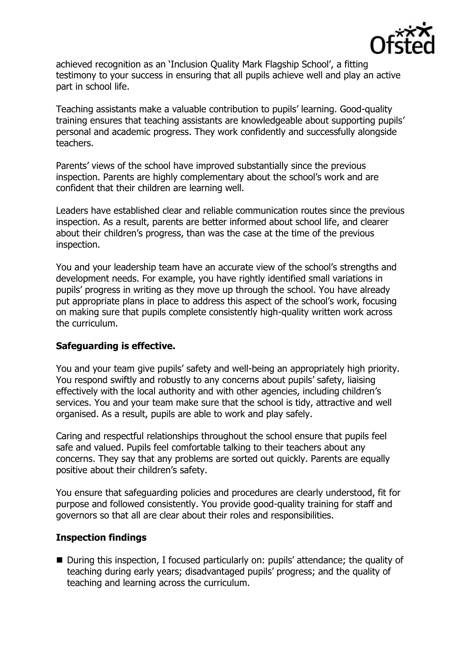

achieved recognition as an 'Inclusion Quality Mark Flagship School', a fitting testimony to your success in ensuring that all pupils achieve well and play an active part in school life.

Teaching assistants make a valuable contribution to pupils' learning. Good-quality training ensures that teaching assistants are knowledgeable about supporting pupils' personal and academic progress. They work confidently and successfully alongside teachers.

Parents' views of the school have improved substantially since the previous inspection. Parents are highly complementary about the school's work and are confident that their children are learning well.

Leaders have established clear and reliable communication routes since the previous inspection. As a result, parents are better informed about school life, and clearer about their children's progress, than was the case at the time of the previous inspection.

You and your leadership team have an accurate view of the school's strengths and development needs. For example, you have rightly identified small variations in pupils' progress in writing as they move up through the school. You have already put appropriate plans in place to address this aspect of the school's work, focusing on making sure that pupils complete consistently high-quality written work across the curriculum.

## **Safeguarding is effective.**

You and your team give pupils' safety and well-being an appropriately high priority. You respond swiftly and robustly to any concerns about pupils' safety, liaising effectively with the local authority and with other agencies, including children's services. You and your team make sure that the school is tidy, attractive and well organised. As a result, pupils are able to work and play safely.

Caring and respectful relationships throughout the school ensure that pupils feel safe and valued. Pupils feel comfortable talking to their teachers about any concerns. They say that any problems are sorted out quickly. Parents are equally positive about their children's safety.

You ensure that safeguarding policies and procedures are clearly understood, fit for purpose and followed consistently. You provide good-quality training for staff and governors so that all are clear about their roles and responsibilities.

## **Inspection findings**

■ During this inspection, I focused particularly on: pupils' attendance; the quality of teaching during early years; disadvantaged pupils' progress; and the quality of teaching and learning across the curriculum.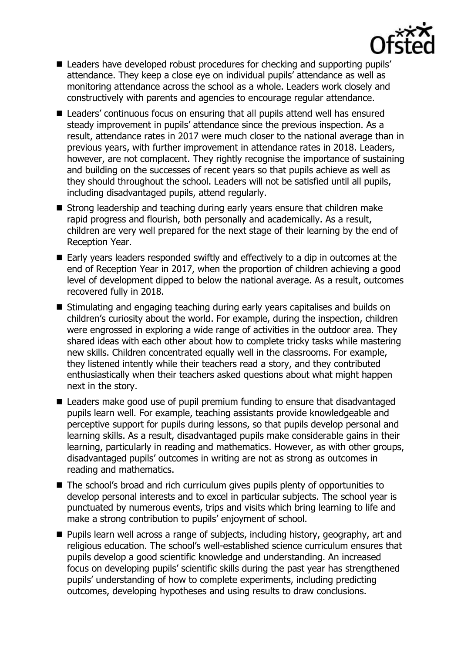

- Leaders have developed robust procedures for checking and supporting pupils' attendance. They keep a close eye on individual pupils' attendance as well as monitoring attendance across the school as a whole. Leaders work closely and constructively with parents and agencies to encourage regular attendance.
- Leaders' continuous focus on ensuring that all pupils attend well has ensured steady improvement in pupils' attendance since the previous inspection. As a result, attendance rates in 2017 were much closer to the national average than in previous years, with further improvement in attendance rates in 2018. Leaders, however, are not complacent. They rightly recognise the importance of sustaining and building on the successes of recent years so that pupils achieve as well as they should throughout the school. Leaders will not be satisfied until all pupils, including disadvantaged pupils, attend regularly.
- Strong leadership and teaching during early years ensure that children make rapid progress and flourish, both personally and academically. As a result, children are very well prepared for the next stage of their learning by the end of Reception Year.
- Early years leaders responded swiftly and effectively to a dip in outcomes at the end of Reception Year in 2017, when the proportion of children achieving a good level of development dipped to below the national average. As a result, outcomes recovered fully in 2018.
- Stimulating and engaging teaching during early years capitalises and builds on children's curiosity about the world. For example, during the inspection, children were engrossed in exploring a wide range of activities in the outdoor area. They shared ideas with each other about how to complete tricky tasks while mastering new skills. Children concentrated equally well in the classrooms. For example, they listened intently while their teachers read a story, and they contributed enthusiastically when their teachers asked questions about what might happen next in the story.
- Leaders make good use of pupil premium funding to ensure that disadvantaged pupils learn well. For example, teaching assistants provide knowledgeable and perceptive support for pupils during lessons, so that pupils develop personal and learning skills. As a result, disadvantaged pupils make considerable gains in their learning, particularly in reading and mathematics. However, as with other groups, disadvantaged pupils' outcomes in writing are not as strong as outcomes in reading and mathematics.
- The school's broad and rich curriculum gives pupils plenty of opportunities to develop personal interests and to excel in particular subjects. The school year is punctuated by numerous events, trips and visits which bring learning to life and make a strong contribution to pupils' enjoyment of school.
- **Pupils learn well across a range of subjects, including history, geography, art and** religious education. The school's well-established science curriculum ensures that pupils develop a good scientific knowledge and understanding. An increased focus on developing pupils' scientific skills during the past year has strengthened pupils' understanding of how to complete experiments, including predicting outcomes, developing hypotheses and using results to draw conclusions.